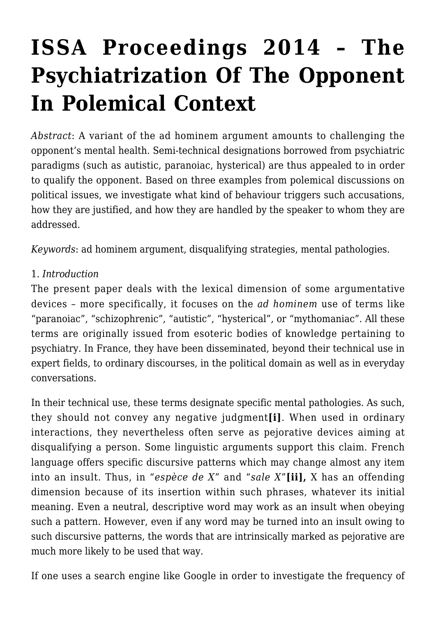# **[ISSA Proceedings 2014 – The](https://rozenbergquarterly.com/issa-proceedings-2014-the-psychiatrization-of-the-opponent-in-polemical-context/) [Psychiatrization Of The Opponent](https://rozenbergquarterly.com/issa-proceedings-2014-the-psychiatrization-of-the-opponent-in-polemical-context/) [In Polemical Context](https://rozenbergquarterly.com/issa-proceedings-2014-the-psychiatrization-of-the-opponent-in-polemical-context/)**

*Abstract*: A variant of the ad hominem argument amounts to challenging the opponent's mental health. Semi-technical designations borrowed from psychiatric paradigms (such as autistic, paranoiac, hysterical) are thus appealed to in order to qualify the opponent. Based on three examples from polemical discussions on political issues, we investigate what kind of behaviour triggers such accusations, how they are justified, and how they are handled by the speaker to whom they are addressed.

*Keywords*: ad hominem argument, disqualifying strategies, mental pathologies.

#### 1. *Introduction*

The present paper deals with the lexical dimension of some argumentative devices – more specifically, it focuses on the *ad hominem* use of terms like "paranoiac", "schizophrenic", "autistic", "hysterical", or "mythomaniac". All these terms are originally issued from esoteric bodies of knowledge pertaining to psychiatry. In France, they have been disseminated, beyond their technical use in expert fields, to ordinary discourses, in the political domain as well as in everyday conversations.

In their technical use, these terms designate specific mental pathologies. As such, they should not convey any negative judgment**[i]**. When used in ordinary interactions, they nevertheless often serve as pejorative devices aiming at disqualifying a person. Some linguistic arguments support this claim. French language offers specific discursive patterns which may change almost any item into an insult. Thus, in *"espèce de X*" and "*sale X*"**[ii],** X has an offending dimension because of its insertion within such phrases, whatever its initial meaning. Even a neutral, descriptive word may work as an insult when obeying such a pattern. However, even if any word may be turned into an insult owing to such discursive patterns, the words that are intrinsically marked as pejorative are much more likely to be used that way.

If one uses a search engine like Google in order to investigate the frequency of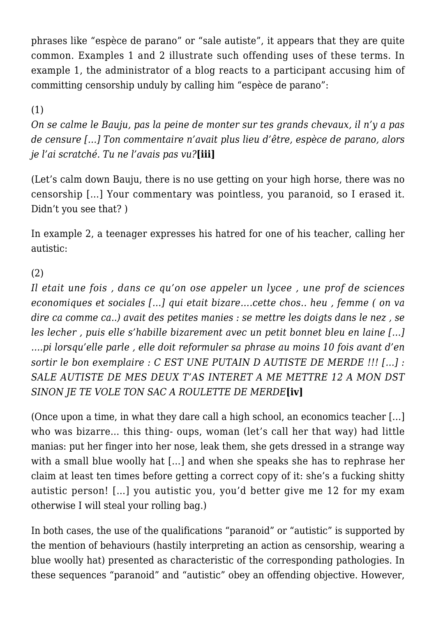phrases like "espèce de parano" or "sale autiste", it appears that they are quite common. Examples 1 and 2 illustrate such offending uses of these terms. In example 1, the administrator of a blog reacts to a participant accusing him of committing censorship unduly by calling him "espèce de parano":

#### (1)

*On se calme le Bauju, pas la peine de monter sur tes grands chevaux, il n'y a pas de censure […] Ton commentaire n'avait plus lieu d'être, espèce de parano, alors je l'ai scratché. Tu ne l'avais pas vu?***[iii]**

(Let's calm down Bauju, there is no use getting on your high horse, there was no censorship […] Your commentary was pointless, you paranoid, so I erased it. Didn't you see that? )

In example 2, a teenager expresses his hatred for one of his teacher, calling her autistic:

#### (2)

*Il etait une fois , dans ce qu'on ose appeler un lycee , une prof de sciences economiques et sociales […] qui etait bizare….cette chos.. heu , femme ( on va dire ca comme ca..) avait des petites manies : se mettre les doigts dans le nez , se les lecher , puis elle s'habille bizarement avec un petit bonnet bleu en laine […] ….pi lorsqu'elle parle , elle doit reformuler sa phrase au moins 10 fois avant d'en sortir le bon exemplaire : C EST UNE PUTAIN D AUTISTE DE MERDE !!! […] : SALE AUTISTE DE MES DEUX T'AS INTERET A ME METTRE 12 A MON DST SINON JE TE VOLE TON SAC A ROULETTE DE MERDE***[iv]**

(Once upon a time, in what they dare call a high school, an economics teacher […] who was bizarre… this thing- oups, woman (let's call her that way) had little manias: put her finger into her nose, leak them, she gets dressed in a strange way with a small blue woolly hat […] and when she speaks she has to rephrase her claim at least ten times before getting a correct copy of it: she's a fucking shitty autistic person! […] you autistic you, you'd better give me 12 for my exam otherwise I will steal your rolling bag.)

In both cases, the use of the qualifications "paranoid" or "autistic" is supported by the mention of behaviours (hastily interpreting an action as censorship, wearing a blue woolly hat) presented as characteristic of the corresponding pathologies. In these sequences "paranoid" and "autistic" obey an offending objective. However,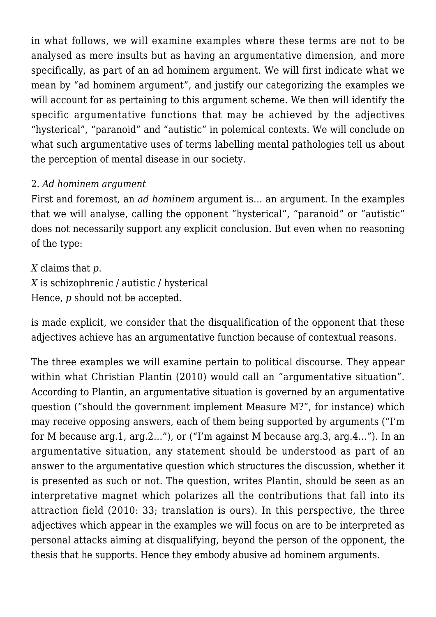in what follows, we will examine examples where these terms are not to be analysed as mere insults but as having an argumentative dimension, and more specifically, as part of an ad hominem argument. We will first indicate what we mean by "ad hominem argument", and justify our categorizing the examples we will account for as pertaining to this argument scheme. We then will identify the specific argumentative functions that may be achieved by the adjectives "hysterical", "paranoid" and "autistic" in polemical contexts. We will conclude on what such argumentative uses of terms labelling mental pathologies tell us about the perception of mental disease in our society.

## 2. *Ad hominem argument*

First and foremost, an *ad hominem* argument is… an argument. In the examples that we will analyse, calling the opponent "hysterical", "paranoid" or "autistic" does not necessarily support any explicit conclusion. But even when no reasoning of the type:

*X* claims that *p*. *X* is schizophrenic / autistic / hysterical Hence, *p* should not be accepted.

is made explicit, we consider that the disqualification of the opponent that these adjectives achieve has an argumentative function because of contextual reasons.

The three examples we will examine pertain to political discourse. They appear within what Christian Plantin (2010) would call an "argumentative situation". According to Plantin, an argumentative situation is governed by an argumentative question ("should the government implement Measure M?", for instance) which may receive opposing answers, each of them being supported by arguments ("I'm for M because arg.1, arg.2…"), or ("I'm against M because arg.3, arg.4…"). In an argumentative situation, any statement should be understood as part of an answer to the argumentative question which structures the discussion, whether it is presented as such or not. The question, writes Plantin, should be seen as an interpretative magnet which polarizes all the contributions that fall into its attraction field (2010: 33; translation is ours). In this perspective, the three adjectives which appear in the examples we will focus on are to be interpreted as personal attacks aiming at disqualifying, beyond the person of the opponent, the thesis that he supports. Hence they embody abusive ad hominem arguments.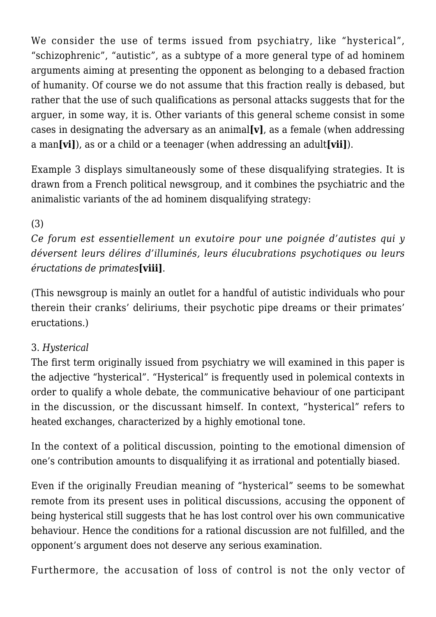We consider the use of terms issued from psychiatry, like "hysterical", "schizophrenic", "autistic", as a subtype of a more general type of ad hominem arguments aiming at presenting the opponent as belonging to a debased fraction of humanity. Of course we do not assume that this fraction really is debased, but rather that the use of such qualifications as personal attacks suggests that for the arguer, in some way, it is. Other variants of this general scheme consist in some cases in designating the adversary as an animal**[v]**, as a female (when addressing a man**[vi]**), as or a child or a teenager (when addressing an adult**[vii]**).

Example 3 displays simultaneously some of these disqualifying strategies. It is drawn from a French political newsgroup, and it combines the psychiatric and the animalistic variants of the ad hominem disqualifying strategy:

(3)

*Ce forum est essentiellement un exutoire pour une poignée d'autistes qui y déversent leurs délires d'illuminés, leurs élucubrations psychotiques ou leurs éructations de primates***[viii]**.

(This newsgroup is mainly an outlet for a handful of autistic individuals who pour therein their cranks' deliriums, their psychotic pipe dreams or their primates' eructations.)

## 3. *Hysterical*

The first term originally issued from psychiatry we will examined in this paper is the adjective "hysterical". "Hysterical" is frequently used in polemical contexts in order to qualify a whole debate, the communicative behaviour of one participant in the discussion, or the discussant himself. In context, "hysterical" refers to heated exchanges, characterized by a highly emotional tone.

In the context of a political discussion, pointing to the emotional dimension of one's contribution amounts to disqualifying it as irrational and potentially biased.

Even if the originally Freudian meaning of "hysterical" seems to be somewhat remote from its present uses in political discussions, accusing the opponent of being hysterical still suggests that he has lost control over his own communicative behaviour. Hence the conditions for a rational discussion are not fulfilled, and the opponent's argument does not deserve any serious examination.

Furthermore, the accusation of loss of control is not the only vector of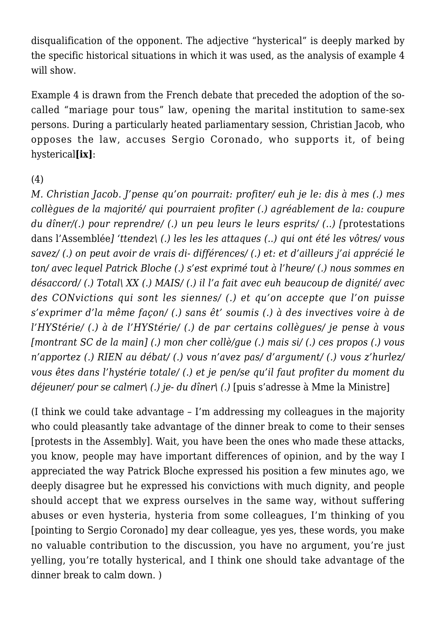disqualification of the opponent. The adjective "hysterical" is deeply marked by the specific historical situations in which it was used, as the analysis of example 4 will show.

Example 4 is drawn from the French debate that preceded the adoption of the socalled "mariage pour tous" law, opening the marital institution to same-sex persons. During a particularly heated parliamentary session, Christian Jacob, who opposes the law, accuses Sergio Coronado, who supports it, of being hysterical**[ix]**:

#### (4)

*M. Christian Jacob. J'pense qu'on pourrait: profiter/ euh je le: dis à mes (.) mes collègues de la majorité/ qui pourraient profiter (.) agréablement de la: coupure du dîner/(.) pour reprendre/ (.) un peu leurs le leurs esprits/ (..) [*protestations dans l'Assemblée*] 'ttendez\ (.) les les les attaques (..) qui ont été les vôtres/ vous savez/ (.) on peut avoir de vrais di- différences/ (.) et: et d'ailleurs j'ai apprécié le ton/ avec lequel Patrick Bloche (.) s'est exprimé tout à l'heure/ (.) nous sommes en désaccord/ (.) Total\ XX (.) MAIS/ (.) il l'a fait avec euh beaucoup de dignité/ avec des CONvictions qui sont les siennes/ (.) et qu'on accepte que l'on puisse s'exprimer d'la même façon/ (.) sans êt' soumis (.) à des invectives voire à de l'HYStérie/ (.) à de l'HYStérie/ (.) de par certains collègues/ je pense à vous [montrant SC de la main] (.) mon cher collè/gue (.) mais si/ (.) ces propos (.) vous n'apportez (.) RIEN au débat/ (.) vous n'avez pas/ d'argument/ (.) vous z'hurlez/ vous êtes dans l'hystérie totale/ (.) et je pen/se qu'il faut profiter du moment du déjeuner/ pour se calmer\ (.) je- du dîner\ (.)* [puis s'adresse à Mme la Ministre]

(I think we could take advantage – I'm addressing my colleagues in the majority who could pleasantly take advantage of the dinner break to come to their senses [protests in the Assembly]. Wait, you have been the ones who made these attacks, you know, people may have important differences of opinion, and by the way I appreciated the way Patrick Bloche expressed his position a few minutes ago, we deeply disagree but he expressed his convictions with much dignity, and people should accept that we express ourselves in the same way, without suffering abuses or even hysteria, hysteria from some colleagues, I'm thinking of you [pointing to Sergio Coronado] my dear colleague, yes yes, these words, you make no valuable contribution to the discussion, you have no argument, you're just yelling, you're totally hysterical, and I think one should take advantage of the dinner break to calm down. )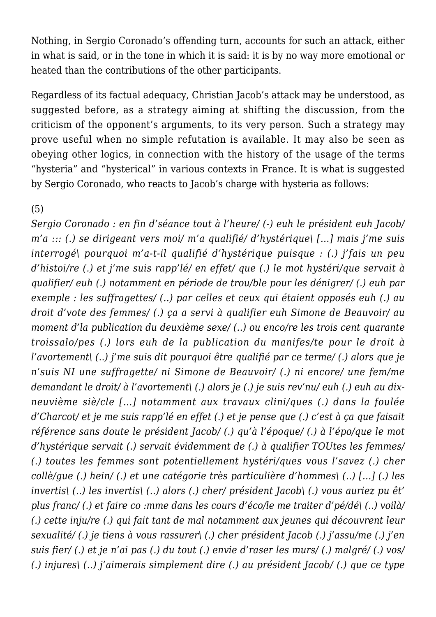Nothing, in Sergio Coronado's offending turn, accounts for such an attack, either in what is said, or in the tone in which it is said: it is by no way more emotional or heated than the contributions of the other participants.

Regardless of its factual adequacy, Christian Jacob's attack may be understood, as suggested before, as a strategy aiming at shifting the discussion, from the criticism of the opponent's arguments, to its very person. Such a strategy may prove useful when no simple refutation is available. It may also be seen as obeying other logics, in connection with the history of the usage of the terms "hysteria" and "hysterical" in various contexts in France. It is what is suggested by Sergio Coronado, who reacts to Jacob's charge with hysteria as follows:

#### (5)

*Sergio Coronado : en fin d'séance tout à l'heure/ (-) euh le président euh Jacob/ m'a ::: (.) se dirigeant vers moi/ m'a qualifié/ d'hystérique\ […] mais j'me suis interrogé\ pourquoi m'a-t-il qualifié d'hystérique puisque : (.) j'fais un peu d'histoi/re (.) et j'me suis rapp'lé/ en effet/ que (.) le mot hystéri/que servait à qualifier/ euh (.) notamment en période de trou/ble pour les dénigrer/ (.) euh par exemple : les suffragettes/ (..) par celles et ceux qui étaient opposés euh (.) au droit d'vote des femmes/ (.) ça a servi à qualifier euh Simone de Beauvoir/ au moment d'la publication du deuxième sexe/ (..) ou enco/re les trois cent quarante troissalo/pes (.) lors euh de la publication du manifes/te pour le droit à l'avortement\ (..) j'me suis dit pourquoi être qualifié par ce terme/ (.) alors que je n'suis NI une suffragette/ ni Simone de Beauvoir/ (.) ni encore/ une fem/me demandant le droit/ à l'avortement\ (.) alors je (.) je suis rev'nu/ euh (.) euh au dixneuvième siè/cle […] notamment aux travaux clini/ques (.) dans la foulée d'Charcot/ et je me suis rapp'lé en effet (.) et je pense que (.) c'est à ça que faisait référence sans doute le président Jacob/ (.) qu'à l'époque/ (.) à l'épo/que le mot d'hystérique servait (.) servait évidemment de (.) à qualifier TOUtes les femmes/ (.) toutes les femmes sont potentiellement hystéri/ques vous l'savez (.) cher collè/gue (.) hein/ (.) et une catégorie très particulière d'hommes\ (..) […] (.) les invertis\ (..) les invertis\ (..) alors (.) cher/ président Jacob\ (.) vous auriez pu êt' plus franc/ (.) et faire co :mme dans les cours d'éco/le me traiter d'pé/dé\ (..) voilà/ (.) cette inju/re (.) qui fait tant de mal notamment aux jeunes qui découvrent leur sexualité/ (.) je tiens à vous rassurer\ (.) cher président Jacob (.) j'assu/me (.) j'en suis fier/ (.) et je n'ai pas (.) du tout (.) envie d'raser les murs/ (.) malgré/ (.) vos/ (.) injures\ (..) j'aimerais simplement dire (.) au président Jacob/ (.) que ce type*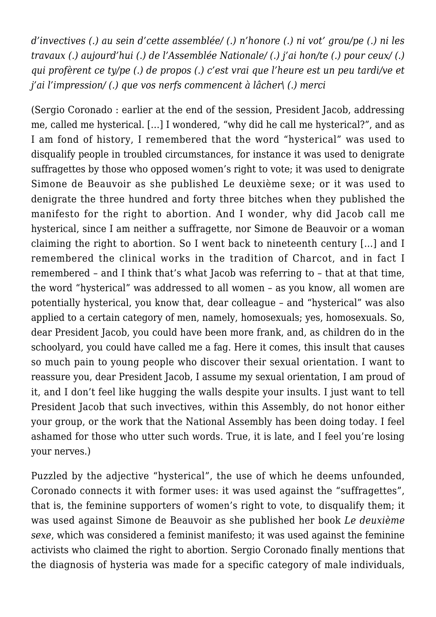*d'invectives (.) au sein d'cette assemblée/ (.) n'honore (.) ni vot' grou/pe (.) ni les travaux (.) aujourd'hui (.) de l'Assemblée Nationale/ (.) j'ai hon/te (.) pour ceux/ (.) qui profèrent ce ty/pe (.) de propos (.) c'est vrai que l'heure est un peu tardi/ve et j'ai l'impression/ (.) que vos nerfs commencent à lâcher\ (.) merci*

(Sergio Coronado : earlier at the end of the session, President Jacob, addressing me, called me hysterical. […] I wondered, "why did he call me hysterical?", and as I am fond of history, I remembered that the word "hysterical" was used to disqualify people in troubled circumstances, for instance it was used to denigrate suffragettes by those who opposed women's right to vote; it was used to denigrate Simone de Beauvoir as she published Le deuxième sexe; or it was used to denigrate the three hundred and forty three bitches when they published the manifesto for the right to abortion. And I wonder, why did Jacob call me hysterical, since I am neither a suffragette, nor Simone de Beauvoir or a woman claiming the right to abortion. So I went back to nineteenth century […] and I remembered the clinical works in the tradition of Charcot, and in fact I remembered – and I think that's what Jacob was referring to – that at that time, the word "hysterical" was addressed to all women – as you know, all women are potentially hysterical, you know that, dear colleague – and "hysterical" was also applied to a certain category of men, namely, homosexuals; yes, homosexuals. So, dear President Jacob, you could have been more frank, and, as children do in the schoolyard, you could have called me a fag. Here it comes, this insult that causes so much pain to young people who discover their sexual orientation. I want to reassure you, dear President Jacob, I assume my sexual orientation, I am proud of it, and I don't feel like hugging the walls despite your insults. I just want to tell President Jacob that such invectives, within this Assembly, do not honor either your group, or the work that the National Assembly has been doing today. I feel ashamed for those who utter such words. True, it is late, and I feel you're losing your nerves.)

Puzzled by the adjective "hysterical", the use of which he deems unfounded, Coronado connects it with former uses: it was used against the "suffragettes", that is, the feminine supporters of women's right to vote, to disqualify them; it was used against Simone de Beauvoir as she published her book *Le deuxième sexe*, which was considered a feminist manifesto; it was used against the feminine activists who claimed the right to abortion. Sergio Coronado finally mentions that the diagnosis of hysteria was made for a specific category of male individuals,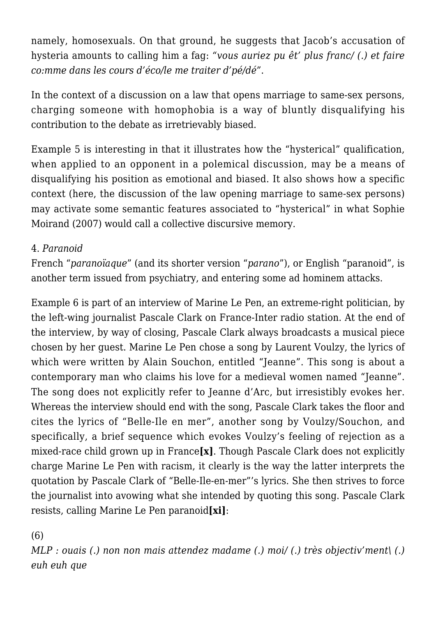namely, homosexuals. On that ground, he suggests that Jacob's accusation of hysteria amounts to calling him a fag: *"vous auriez pu êt' plus franc/ (.) et faire co:mme dans les cours d'éco/le me traiter d'pé/dé"*.

In the context of a discussion on a law that opens marriage to same-sex persons, charging someone with homophobia is a way of bluntly disqualifying his contribution to the debate as irretrievably biased.

Example 5 is interesting in that it illustrates how the "hysterical" qualification, when applied to an opponent in a polemical discussion, may be a means of disqualifying his position as emotional and biased. It also shows how a specific context (here, the discussion of the law opening marriage to same-sex persons) may activate some semantic features associated to "hysterical" in what Sophie Moirand (2007) would call a collective discursive memory.

## 4. *Paranoid*

French "*paranoïaque*" (and its shorter version "*parano*"), or English "paranoid", is another term issued from psychiatry, and entering some ad hominem attacks.

Example 6 is part of an interview of Marine Le Pen, an extreme-right politician, by the left-wing journalist Pascale Clark on France-Inter radio station. At the end of the interview, by way of closing, Pascale Clark always broadcasts a musical piece chosen by her guest. Marine Le Pen chose a song by Laurent Voulzy, the lyrics of which were written by Alain Souchon, entitled "Jeanne". This song is about a contemporary man who claims his love for a medieval women named "Jeanne". The song does not explicitly refer to Jeanne d'Arc, but irresistibly evokes her. Whereas the interview should end with the song, Pascale Clark takes the floor and cites the lyrics of "Belle-Ile en mer", another song by Voulzy/Souchon, and specifically, a brief sequence which evokes Voulzy's feeling of rejection as a mixed-race child grown up in France**[x]**. Though Pascale Clark does not explicitly charge Marine Le Pen with racism, it clearly is the way the latter interprets the quotation by Pascale Clark of "Belle-Ile-en-mer"'s lyrics. She then strives to force the journalist into avowing what she intended by quoting this song. Pascale Clark resists, calling Marine Le Pen paranoid**[xi]**:

#### (6)

*MLP : ouais (.) non non mais attendez madame (.) moi/ (.) très objectiv'ment\ (.) euh euh que*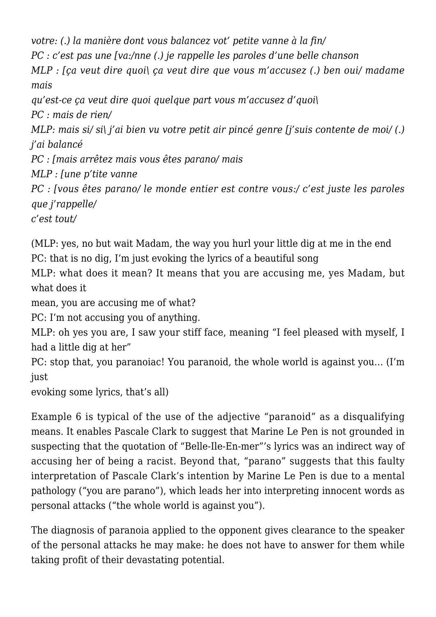*votre: (.) la manière dont vous balancez vot' petite vanne à la fin/ PC : c'est pas une [va:/nne (.) je rappelle les paroles d'une belle chanson MLP : [ça veut dire quoi\ ça veut dire que vous m'accusez (.) ben oui/ madame mais qu'est-ce ça veut dire quoi quelque part vous m'accusez d'quoi\ PC : mais de rien/ MLP: mais si/ si\ j'ai bien vu votre petit air pincé genre [j'suis contente de moi/ (.) j'ai balancé PC : [mais arrêtez mais vous êtes parano/ mais MLP : [une p'tite vanne PC : [vous êtes parano/ le monde entier est contre vous:/ c'est juste les paroles que j'rappelle/ c'est tout/*

(MLP: yes, no but wait Madam, the way you hurl your little dig at me in the end PC: that is no dig, I'm just evoking the lyrics of a beautiful song

MLP: what does it mean? It means that you are accusing me, yes Madam, but what does it

mean, you are accusing me of what?

PC: I'm not accusing you of anything.

MLP: oh yes you are, I saw your stiff face, meaning "I feel pleased with myself, I had a little dig at her"

PC: stop that, you paranoiac! You paranoid, the whole world is against you… (I'm just

evoking some lyrics, that's all)

Example 6 is typical of the use of the adjective "paranoid" as a disqualifying means. It enables Pascale Clark to suggest that Marine Le Pen is not grounded in suspecting that the quotation of "Belle-Ile-En-mer"'s lyrics was an indirect way of accusing her of being a racist. Beyond that, "parano" suggests that this faulty interpretation of Pascale Clark's intention by Marine Le Pen is due to a mental pathology ("you are parano"), which leads her into interpreting innocent words as personal attacks ("the whole world is against you").

The diagnosis of paranoia applied to the opponent gives clearance to the speaker of the personal attacks he may make: he does not have to answer for them while taking profit of their devastating potential.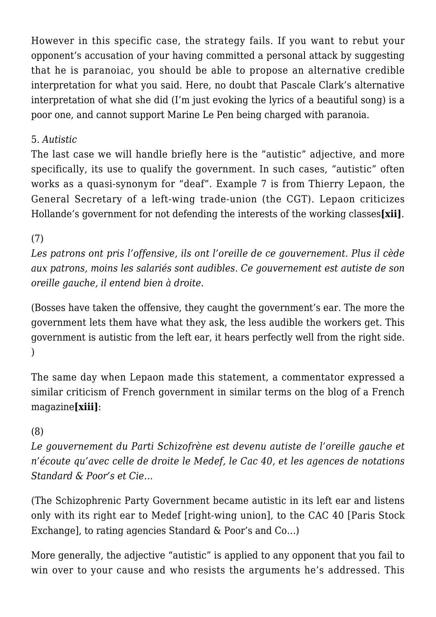However in this specific case, the strategy fails. If you want to rebut your opponent's accusation of your having committed a personal attack by suggesting that he is paranoiac, you should be able to propose an alternative credible interpretation for what you said. Here, no doubt that Pascale Clark's alternative interpretation of what she did (I'm just evoking the lyrics of a beautiful song) is a poor one, and cannot support Marine Le Pen being charged with paranoia.

## 5. *Autistic*

The last case we will handle briefly here is the "autistic" adjective, and more specifically, its use to qualify the government. In such cases, "autistic" often works as a quasi-synonym for "deaf". Example 7 is from Thierry Lepaon, the General Secretary of a left-wing trade-union (the CGT). Lepaon criticizes Hollande's government for not defending the interests of the working classes**[xii]**.

# (7)

*Les patrons ont pris l'offensive, ils ont l'oreille de ce gouvernement. Plus il cède aux patrons, moins les salariés sont audibles. Ce gouvernement est autiste de son oreille gauche, il entend bien à droite.*

(Bosses have taken the offensive, they caught the government's ear. The more the government lets them have what they ask, the less audible the workers get. This government is autistic from the left ear, it hears perfectly well from the right side. )

The same day when Lepaon made this statement, a commentator expressed a similar criticism of French government in similar terms on the blog of a French magazine**[xiii]**:

#### (8)

*Le gouvernement du Parti Schizofrène est devenu autiste de l'oreille gauche et n'écoute qu'avec celle de droite le Medef, le Cac 40, et les agences de notations Standard & Poor's et Cie…*

(The Schizophrenic Party Government became autistic in its left ear and listens only with its right ear to Medef [right-wing union], to the CAC 40 [Paris Stock Exchange], to rating agencies Standard & Poor's and Co…)

More generally, the adjective "autistic" is applied to any opponent that you fail to win over to your cause and who resists the arguments he's addressed. This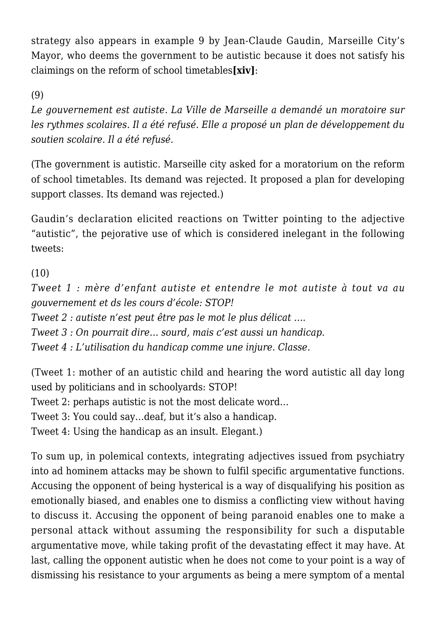strategy also appears in example 9 by Jean-Claude Gaudin, Marseille City's Mayor, who deems the government to be autistic because it does not satisfy his claimings on the reform of school timetables**[xiv]**:

(9)

*Le gouvernement est autiste. La Ville de Marseille a demandé un moratoire sur les rythmes scolaires. Il a été refusé. Elle a proposé un plan de développement du soutien scolaire. Il a été refusé.*

(The government is autistic. Marseille city asked for a moratorium on the reform of school timetables. Its demand was rejected. It proposed a plan for developing support classes. Its demand was rejected.)

Gaudin's declaration elicited reactions on Twitter pointing to the adjective "autistic", the pejorative use of which is considered inelegant in the following tweets:

(10)

*Tweet 1 : mère d'enfant autiste et entendre le mot autiste à tout va au gouvernement et ds les cours d'école: STOP!*

*Tweet 2 : autiste n'est peut être pas le mot le plus délicat ….*

*Tweet 3 : On pourrait dire… sourd, mais c'est aussi un handicap.*

*Tweet 4 : L'utilisation du handicap comme une injure. Classe.*

(Tweet 1: mother of an autistic child and hearing the word autistic all day long used by politicians and in schoolyards: STOP!

Tweet 2: perhaps autistic is not the most delicate word…

Tweet 3: You could say…deaf, but it's also a handicap.

Tweet 4: Using the handicap as an insult. Elegant.)

To sum up, in polemical contexts, integrating adjectives issued from psychiatry into ad hominem attacks may be shown to fulfil specific argumentative functions. Accusing the opponent of being hysterical is a way of disqualifying his position as emotionally biased, and enables one to dismiss a conflicting view without having to discuss it. Accusing the opponent of being paranoid enables one to make a personal attack without assuming the responsibility for such a disputable argumentative move, while taking profit of the devastating effect it may have. At last, calling the opponent autistic when he does not come to your point is a way of dismissing his resistance to your arguments as being a mere symptom of a mental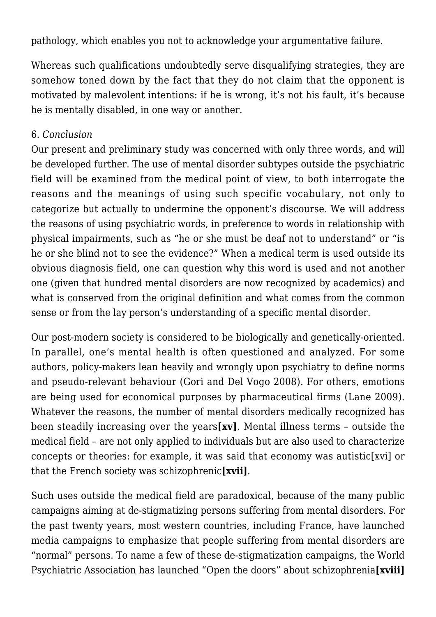pathology, which enables you not to acknowledge your argumentative failure.

Whereas such qualifications undoubtedly serve disqualifying strategies, they are somehow toned down by the fact that they do not claim that the opponent is motivated by malevolent intentions: if he is wrong, it's not his fault, it's because he is mentally disabled, in one way or another.

#### 6. *Conclusion*

Our present and preliminary study was concerned with only three words, and will be developed further. The use of mental disorder subtypes outside the psychiatric field will be examined from the medical point of view, to both interrogate the reasons and the meanings of using such specific vocabulary, not only to categorize but actually to undermine the opponent's discourse. We will address the reasons of using psychiatric words, in preference to words in relationship with physical impairments, such as "he or she must be deaf not to understand" or "is he or she blind not to see the evidence?" When a medical term is used outside its obvious diagnosis field, one can question why this word is used and not another one (given that hundred mental disorders are now recognized by academics) and what is conserved from the original definition and what comes from the common sense or from the lay person's understanding of a specific mental disorder.

Our post-modern society is considered to be biologically and genetically-oriented. In parallel, one's mental health is often questioned and analyzed. For some authors, policy-makers lean heavily and wrongly upon psychiatry to define norms and pseudo-relevant behaviour (Gori and Del Vogo 2008). For others, emotions are being used for economical purposes by pharmaceutical firms (Lane 2009). Whatever the reasons, the number of mental disorders medically recognized has been steadily increasing over the years**[xv]**. Mental illness terms – outside the medical field – are not only applied to individuals but are also used to characterize concepts or theories: for example, it was said that economy was autistic[xvi] or that the French society was schizophrenic**[xvii]**.

Such uses outside the medical field are paradoxical, because of the many public campaigns aiming at de-stigmatizing persons suffering from mental disorders. For the past twenty years, most western countries, including France, have launched media campaigns to emphasize that people suffering from mental disorders are "normal" persons. To name a few of these de-stigmatization campaigns, the World Psychiatric Association has launched "Open the doors" about schizophrenia**[xviii]**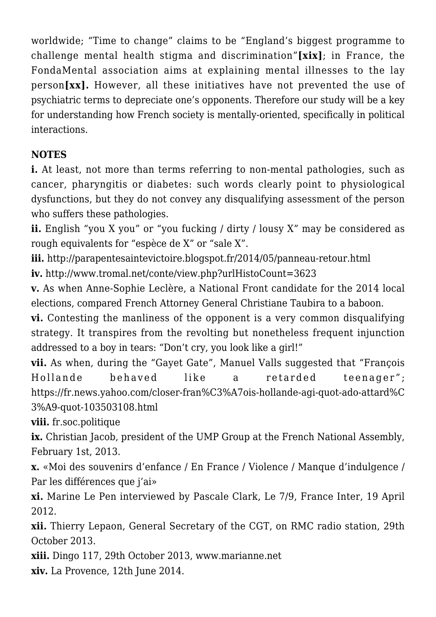worldwide; "Time to change" claims to be "England's biggest programme to challenge mental health stigma and discrimination"**[xix]**; in France, the FondaMental association aims at explaining mental illnesses to the lay person**[xx].** However, all these initiatives have not prevented the use of psychiatric terms to depreciate one's opponents. Therefore our study will be a key for understanding how French society is mentally-oriented, specifically in political interactions.

# **NOTES**

**i.** At least, not more than terms referring to non-mental pathologies, such as cancer, pharyngitis or diabetes: such words clearly point to physiological dysfunctions, but they do not convey any disqualifying assessment of the person who suffers these pathologies.

**ii.** English "you X you" or "you fucking / dirty / lousy X" may be considered as rough equivalents for "espèce de X" or "sale X".

**iii.** http://parapentesaintevictoire.blogspot.fr/2014/05/panneau-retour.html **iv.** http://www.tromal.net/conte/view.php?urlHistoCount=3623

**v.** As when Anne-Sophie Leclère, a National Front candidate for the 2014 local elections, compared French Attorney General Christiane Taubira to a baboon.

**vi.** Contesting the manliness of the opponent is a very common disqualifying strategy. It transpires from the revolting but nonetheless frequent injunction addressed to a boy in tears: "Don't cry, you look like a girl!"

**vii.** As when, during the "Gayet Gate", Manuel Valls suggested that "François Hollande behaved like a retarded teenager"; https://fr.news.yahoo.com/closer-fran%C3%A7ois-hollande-agi-quot-ado-attard%C 3%A9-quot-103503108.html

**viii.** fr.soc.politique

**ix.** Christian Jacob, president of the UMP Group at the French National Assembly, February 1st, 2013.

**x.** «Moi des souvenirs d'enfance / En France / Violence / Manque d'indulgence / Par les différences que j'ai»

**xi.** Marine Le Pen interviewed by Pascale Clark, Le 7/9, France Inter, 19 April 2012.

**xii.** Thierry Lepaon, General Secretary of the CGT, on RMC radio station, 29th October 2013.

**xiii.** Dingo 117, 29th October 2013, www.marianne.net

**xiv.** La Provence, 12th June 2014.